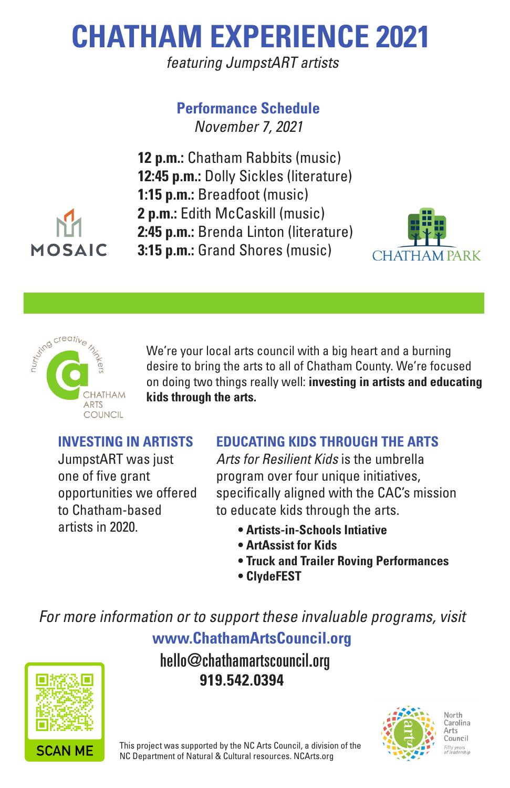## **CHATHAM EXPERIENCE 2021**

featuring JumpstART artists

#### **Performance Schedule** November 7, 2021

**12 p.m.:** Chatham Rabbits (music) **12:45 p.m.:** Dolly Sickles (literature) **1:15 p.m.:** Breadfoot (music) **2 p.m.:** Edith McCaskill (music) **2:45 p.m.:** Brenda Linton (literature) **3:15 p.m.:** Grand Shores (music)





**ARTS COUNCIL** 

**MOSAIC** 

We're your local arts council with a big heart and a burning desire to bring the arts to all of Chatham County. We're focused on doing two things really well: **investing in artists and educating kids through the arts.**

#### **INVESTING IN ARTISTS**

JumpstART was just one of five grant opportunities we offered to Chatham-based artists in 2020.

#### **EDUCATING KIDS THROUGH THE ARTS**

Arts for Resilient Kids is the umbrella program over four unique initiatives, specifically aligned with the CAC's mission to educate kids through the arts.

- **Artists-in-Schools Intiative**
- **ArtAssist for Kids**
- **Truck and Trailer Roving Performances**
- **ClydeFEST**

For more information or to support these invaluable programs, visit **www.ChathamArtsCouncil.org**

# **SCAN MF**





**919.542.0394** hello@chathamartscouncil.org